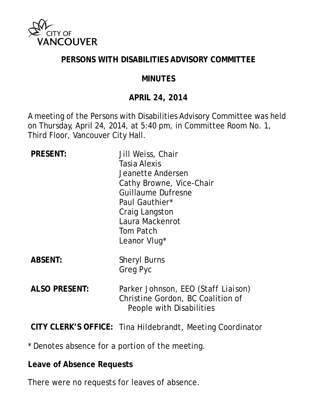

#### **PERSONS WITH DISABILITIES ADVISORY COMMITTEE**

#### **MINUTES**

## **APRIL 24, 2014**

A meeting of the Persons with Disabilities Advisory Committee was held on Thursday, April 24, 2014, at 5:40 pm, in Committee Room No. 1, Third Floor, Vancouver City Hall.

| <b>PRESENT:</b>      | Jill Weiss, Chair<br>Tasia Alexis<br>Jeanette Andersen<br>Cathy Browne, Vice-Chair<br><b>Guillaume Dufresne</b><br>Paul Gauthier*<br>Craig Langston<br>Laura Mackenrot<br>Tom Patch<br>Leanor Vlug <sup>*</sup> |
|----------------------|-----------------------------------------------------------------------------------------------------------------------------------------------------------------------------------------------------------------|
| <b>ABSENT:</b>       | <b>Sheryl Burns</b><br><b>Greg Pyc</b>                                                                                                                                                                          |
| <b>ALSO PRESENT:</b> | Parker Johnson, EEO <i>(Staff Liaison)</i><br>Christine Gordon, BC Coalition of<br>People with Disabilities                                                                                                     |
|                      |                                                                                                                                                                                                                 |

**CITY CLERK'S OFFICE:** Tina Hildebrandt, Meeting Coordinator

\* Denotes absence for a portion of the meeting.

#### **Leave of Absence Requests**

There were no requests for leaves of absence.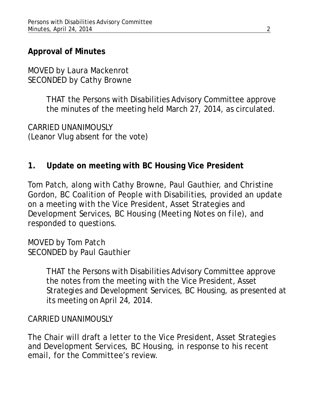# **Approval of Minutes**

MOVED by Laura Mackenrot SECONDED by Cathy Browne

> THAT the Persons with Disabilities Advisory Committee approve the minutes of the meeting held March 27, 2014, as circulated.

CARRIED UNANIMOUSLY (Leanor Vlug absent for the vote)

## **1. Update on meeting with BC Housing Vice President**

Tom Patch, along with Cathy Browne, Paul Gauthier, and Christine Gordon, BC Coalition of People with Disabilities, provided an update on a meeting with the Vice President, Asset Strategies and Development Services, BC Housing *(Meeting Notes on file)*, and responded to questions.

MOVED by Tom Patch SECONDED by Paul Gauthier

> THAT the Persons with Disabilities Advisory Committee approve the notes from the meeting with the Vice President, Asset Strategies and Development Services, BC Housing, as presented at its meeting on April 24, 2014.

## CARRIED UNANIMOUSLY

The Chair will draft a letter to the Vice President, Asset Strategies and Development Services, BC Housing, in response to his recent email, for the Committee's review.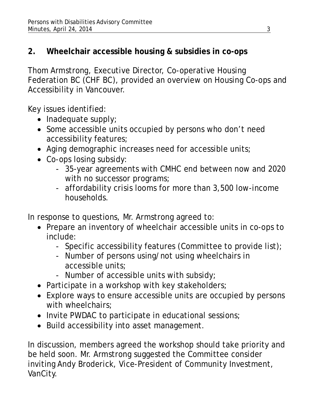# **2. Wheelchair accessible housing & subsidies in co-ops**

Thom Armstrong, Executive Director, Co-operative Housing Federation BC (CHF BC), provided an overview on Housing Co-ops and Accessibility in Vancouver.

Key issues identified:

- $\bullet$  Inadequate supply;
- Some accessible units occupied by persons who don't need accessibility features;
- Aging demographic increases need for accessible units;
- Co-ops losing subsidy:
	- 35-year agreements with CMHC end between now and 2020 with no successor programs;
	- affordability crisis looms for more than 3,500 low-income households.

In response to questions, Mr. Armstrong agreed to:

- Prepare an inventory of wheelchair accessible units in co-ops to include:
	- Specific accessibility features (Committee to provide list);
	- Number of persons using/not using wheelchairs in accessible units;
	- Number of accessible units with subsidy;
- Participate in a workshop with key stakeholders;
- Explore ways to ensure accessible units are occupied by persons with wheelchairs:
- Invite PWDAC to participate in educational sessions;
- Build accessibility into asset management.

In discussion, members agreed the workshop should take priority and be held soon. Mr. Armstrong suggested the Committee consider inviting Andy Broderick, Vice-President of Community Investment, VanCity.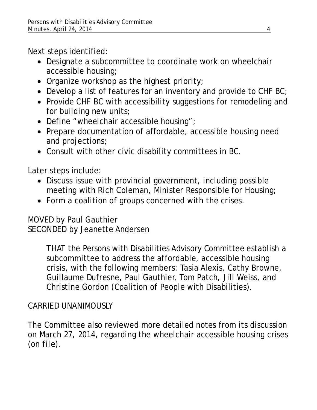Next steps identified:

- Designate a subcommittee to coordinate work on wheelchair accessible housing;
- Organize workshop as the highest priority;
- Develop a list of features for an inventory and provide to CHF BC;
- Provide CHF BC with accessibility suggestions for remodeling and for building new units;
- Define "wheelchair accessible housing";
- Prepare documentation of affordable, accessible housing need and projections;
- Consult with other civic disability committees in BC.

Later steps include:

- Discuss issue with provincial government, including possible meeting with Rich Coleman, Minister Responsible for Housing;
- Form a coalition of groups concerned with the crises.

MOVED by Paul Gauthier SECONDED by Jeanette Andersen

> THAT the Persons with Disabilities Advisory Committee establish a subcommittee to address the affordable, accessible housing crisis, with the following members: Tasia Alexis, Cathy Browne, Guillaume Dufresne, Paul Gauthier, Tom Patch, Jill Weiss, and Christine Gordon (Coalition of People with Disabilities).

# CARRIED UNANIMOUSLY

The Committee also reviewed more detailed notes from its discussion on March 27, 2014, regarding the wheelchair accessible housing crises *(on file)*.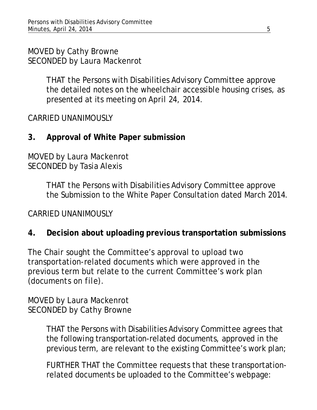MOVED by Cathy Browne SECONDED by Laura Mackenrot

> THAT the Persons with Disabilities Advisory Committee approve the detailed notes on the wheelchair accessible housing crises, as presented at its meeting on April 24, 2014.

CARRIED UNANIMOUSLY

**3. Approval of White Paper submission** 

MOVED by Laura Mackenrot SECONDED by Tasia Alexis

> THAT the Persons with Disabilities Advisory Committee approve the Submission to the White Paper Consultation dated March 2014.

CARRIED UNANIMOUSLY

## **4. Decision about uploading previous transportation submissions**

The Chair sought the Committee's approval to upload two transportation-related documents which were approved in the previous term but relate to the current Committee's work plan *(documents on file)*.

MOVED by Laura Mackenrot SECONDED by Cathy Browne

> THAT the Persons with Disabilities Advisory Committee agrees that the following transportation-related documents, approved in the previous term, are relevant to the existing Committee's work plan;

> FURTHER THAT the Committee requests that these transportationrelated documents be uploaded to the Committee's webpage: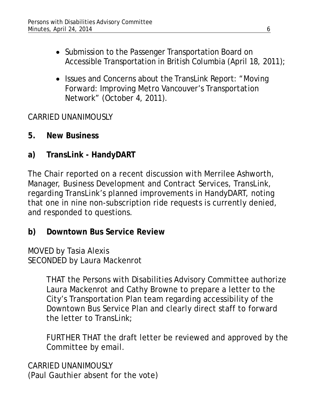- Submission to the Passenger Transportation Board on Accessible Transportation in British Columbia (April 18, 2011);
- Issues and Concerns about the TransLink Report: *"Moving Forward: Improving Metro Vancouver's Transportation Network"* (October 4, 2011).

CARRIED UNANIMOUSLY

- **5. New Business**
- **a) TransLink HandyDART**

The Chair reported on a recent discussion with Merrilee Ashworth, Manager, Business Development and Contract Services, TransLink, regarding TransLink's planned improvements in HandyDART, noting that one in nine non-subscription ride requests is currently denied, and responded to questions.

**b) Downtown Bus Service Review** 

MOVED by Tasia Alexis SECONDED by Laura Mackenrot

> THAT the Persons with Disabilities Advisory Committee authorize Laura Mackenrot and Cathy Browne to prepare a letter to the City's Transportation Plan team regarding accessibility of the Downtown Bus Service Plan and clearly direct staff to forward the letter to TransLink;

> FURTHER THAT the draft letter be reviewed and approved by the Committee by email.

CARRIED UNANIMOUSLY (Paul Gauthier absent for the vote)